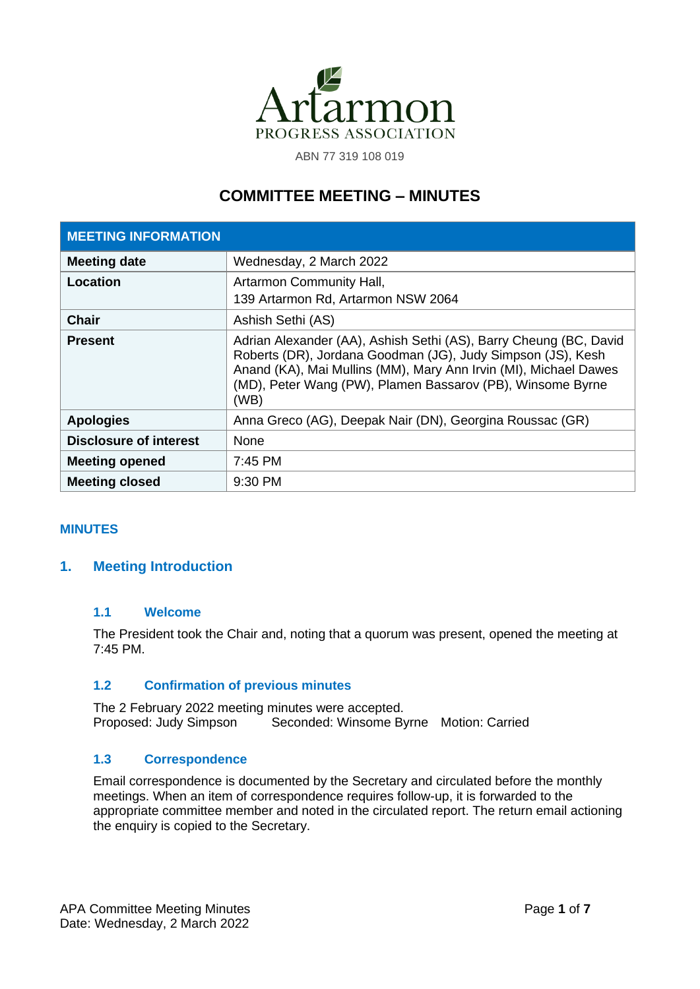

ABN 77 319 108 019

# **COMMITTEE MEETING – MINUTES**

| <b>MEETING INFORMATION</b>    |                                                                                                                                                                                                                                                                            |
|-------------------------------|----------------------------------------------------------------------------------------------------------------------------------------------------------------------------------------------------------------------------------------------------------------------------|
| <b>Meeting date</b>           | Wednesday, 2 March 2022                                                                                                                                                                                                                                                    |
| Location                      | <b>Artarmon Community Hall,</b><br>139 Artarmon Rd, Artarmon NSW 2064                                                                                                                                                                                                      |
| <b>Chair</b>                  | Ashish Sethi (AS)                                                                                                                                                                                                                                                          |
| <b>Present</b>                | Adrian Alexander (AA), Ashish Sethi (AS), Barry Cheung (BC, David<br>Roberts (DR), Jordana Goodman (JG), Judy Simpson (JS), Kesh<br>Anand (KA), Mai Mullins (MM), Mary Ann Irvin (MI), Michael Dawes<br>(MD), Peter Wang (PW), Plamen Bassarov (PB), Winsome Byrne<br>(WB) |
| <b>Apologies</b>              | Anna Greco (AG), Deepak Nair (DN), Georgina Roussac (GR)                                                                                                                                                                                                                   |
| <b>Disclosure of interest</b> | None                                                                                                                                                                                                                                                                       |
| <b>Meeting opened</b>         | $7:45$ PM                                                                                                                                                                                                                                                                  |
| <b>Meeting closed</b>         | 9:30 PM                                                                                                                                                                                                                                                                    |

# **MINUTES**

# **1. Meeting Introduction**

# **1.1 Welcome**

The President took the Chair and, noting that a quorum was present, opened the meeting at 7:45 PM.

# **1.2 Confirmation of previous minutes**

The 2 February 2022 meeting minutes were accepted. Proposed: Judy Simpson Seconded: Winsome Byrne Motion: Carried

#### **1.3 Correspondence**

Email correspondence is documented by the Secretary and circulated before the monthly meetings. When an item of correspondence requires follow-up, it is forwarded to the appropriate committee member and noted in the circulated report. The return email actioning the enquiry is copied to the Secretary.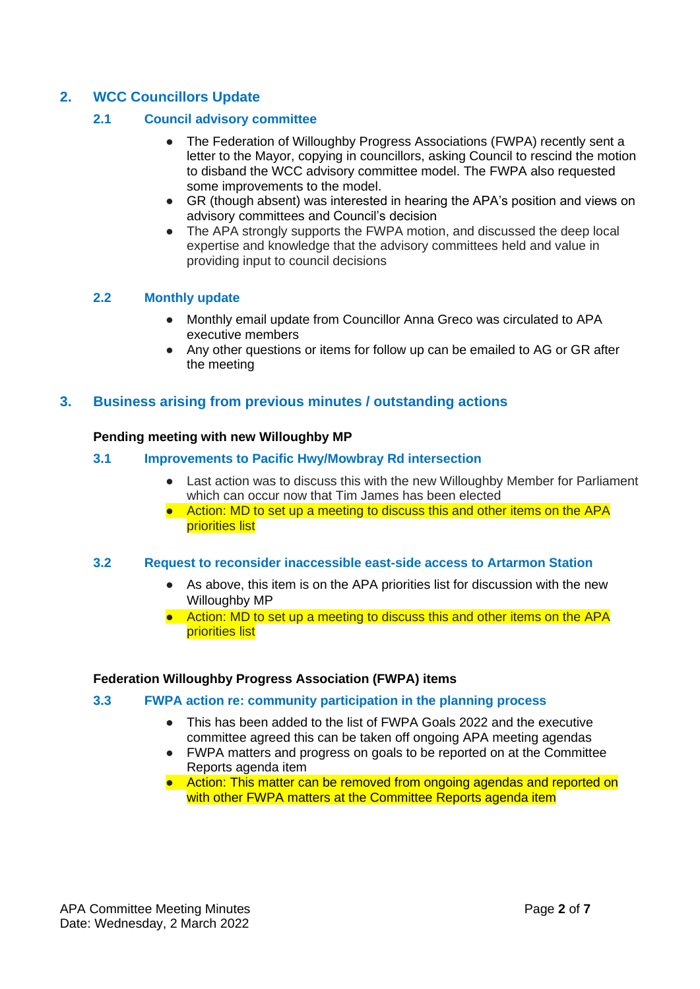# **2. WCC Councillors Update**

# **2.1 Council advisory committee**

- The Federation of Willoughby Progress Associations (FWPA) recently sent a letter to the Mayor, copying in councillors, asking Council to rescind the motion to disband the WCC advisory committee model. The FWPA also requested some improvements to the model.
- GR (though absent) was interested in hearing the APA's position and views on advisory committees and Council's decision
- The APA strongly supports the FWPA motion, and discussed the deep local expertise and knowledge that the advisory committees held and value in providing input to council decisions

# **2.2 Monthly update**

- Monthly email update from Councillor Anna Greco was circulated to APA executive members
- Any other questions or items for follow up can be emailed to AG or GR after the meeting

# **3. Business arising from previous minutes / outstanding actions**

# **Pending meeting with new Willoughby MP**

# **3.1 Improvements to Pacific Hwy/Mowbray Rd intersection**

- Last action was to discuss this with the new Willoughby Member for Parliament which can occur now that Tim James has been elected
- Action: MD to set up a meeting to discuss this and other items on the APA priorities list

# **3.2 Request to reconsider inaccessible east-side access to Artarmon Station**

- As above, this item is on the APA priorities list for discussion with the new Willoughby MP
- Action: MD to set up a meeting to discuss this and other items on the APA priorities list

# **Federation Willoughby Progress Association (FWPA) items**

# **3.3 FWPA action re: community participation in the planning process**

- This has been added to the list of FWPA Goals 2022 and the executive committee agreed this can be taken off ongoing APA meeting agendas
- FWPA matters and progress on goals to be reported on at the Committee Reports agenda item
- Action: This matter can be removed from ongoing agendas and reported on with other FWPA matters at the Committee Reports agenda item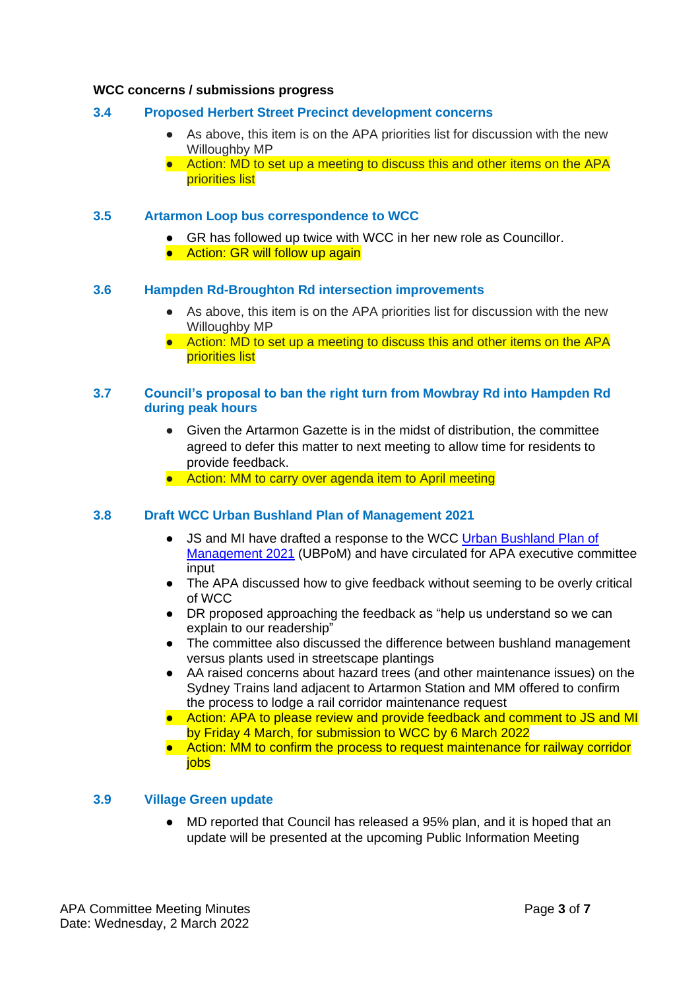#### **WCC concerns / submissions progress**

## **3.4 Proposed Herbert Street Precinct development concerns**

- As above, this item is on the APA priorities list for discussion with the new Willoughby MP
- Action: MD to set up a meeting to discuss this and other items on the APA priorities list

#### **3.5 Artarmon Loop bus correspondence to WCC**

- GR has followed up twice with WCC in her new role as Councillor.
- Action: GR will follow up again

#### **3.6 Hampden Rd-Broughton Rd intersection improvements**

- As above, this item is on the APA priorities list for discussion with the new Willoughby MP
- Action: MD to set up a meeting to discuss this and other items on the APA priorities list

#### **3.7 Council's proposal to ban the right turn from Mowbray Rd into Hampden Rd during peak hours**

- Given the Artarmon Gazette is in the midst of distribution, the committee agreed to defer this matter to next meeting to allow time for residents to provide feedback.
- Action: MM to carry over agenda item to April meeting

#### **3.8 Draft WCC Urban Bushland Plan of Management 2021**

- JS and MI have drafted a response to the WCC [Urban Bushland Plan of](about:blank)  [Management 2021](about:blank) (UBPoM) and have circulated for APA executive committee input
- The APA discussed how to give feedback without seeming to be overly critical of WCC
- DR proposed approaching the feedback as "help us understand so we can explain to our readership"
- The committee also discussed the difference between bushland management versus plants used in streetscape plantings
- AA raised concerns about hazard trees (and other maintenance issues) on the Sydney Trains land adjacent to Artarmon Station and MM offered to confirm the process to lodge a rail corridor maintenance request
- Action: APA to please review and provide feedback and comment to JS and MI by Friday 4 March, for submission to WCC by 6 March 2022
- Action: MM to confirm the process to request maintenance for railway corridor jobs

# **3.9 Village Green update**

MD reported that Council has released a 95% plan, and it is hoped that an update will be presented at the upcoming Public Information Meeting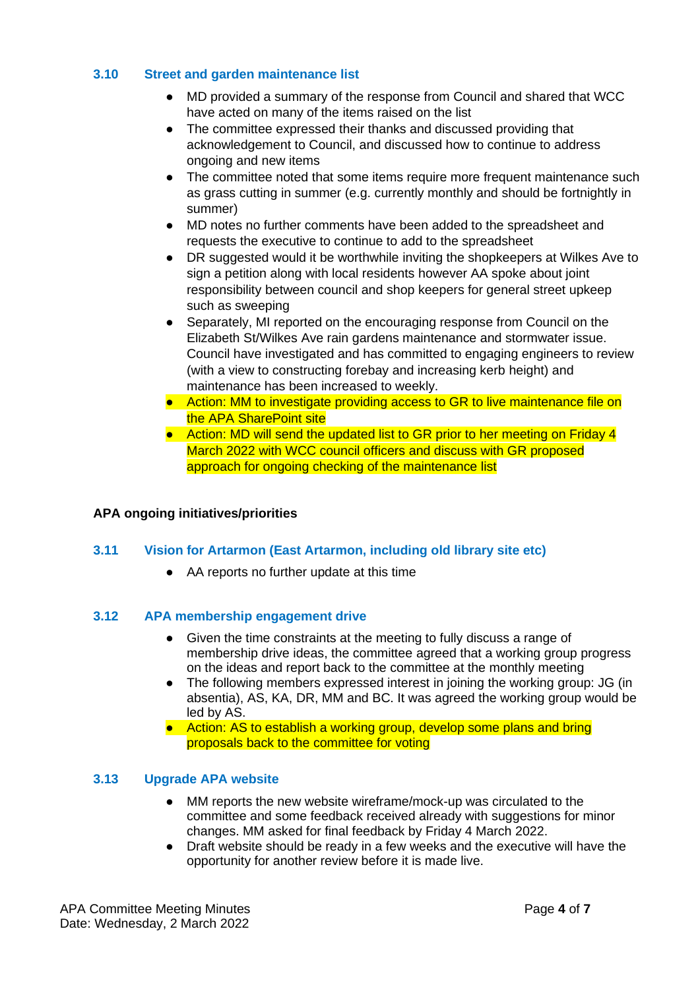# **3.10 Street and garden maintenance list**

- MD provided a summary of the response from Council and shared that WCC have acted on many of the items raised on the list
- The committee expressed their thanks and discussed providing that acknowledgement to Council, and discussed how to continue to address ongoing and new items
- The committee noted that some items require more frequent maintenance such as grass cutting in summer (e.g. currently monthly and should be fortnightly in summer)
- MD notes no further comments have been added to the spreadsheet and requests the executive to continue to add to the spreadsheet
- DR suggested would it be worthwhile inviting the shopkeepers at Wilkes Ave to sign a petition along with local residents however AA spoke about joint responsibility between council and shop keepers for general street upkeep such as sweeping
- Separately, MI reported on the encouraging response from Council on the Elizabeth St/Wilkes Ave rain gardens maintenance and stormwater issue. Council have investigated and has committed to engaging engineers to review (with a view to constructing forebay and increasing kerb height) and maintenance has been increased to weekly.
- Action: MM to investigate providing access to GR to live maintenance file on the APA SharePoint site
- Action: MD will send the updated list to GR prior to her meeting on Friday 4 March 2022 with WCC council officers and discuss with GR proposed approach for ongoing checking of the maintenance list

# **APA ongoing initiatives/priorities**

# **3.11 Vision for Artarmon (East Artarmon, including old library site etc)**

● AA reports no further update at this time

# **3.12 APA membership engagement drive**

- Given the time constraints at the meeting to fully discuss a range of membership drive ideas, the committee agreed that a working group progress on the ideas and report back to the committee at the monthly meeting
- The following members expressed interest in joining the working group: JG (in absentia), AS, KA, DR, MM and BC. It was agreed the working group would be led by AS.
- Action: AS to establish a working group, develop some plans and bring proposals back to the committee for voting

# **3.13 Upgrade APA website**

- MM reports the new website wireframe/mock-up was circulated to the committee and some feedback received already with suggestions for minor changes. MM asked for final feedback by Friday 4 March 2022.
- Draft website should be ready in a few weeks and the executive will have the opportunity for another review before it is made live.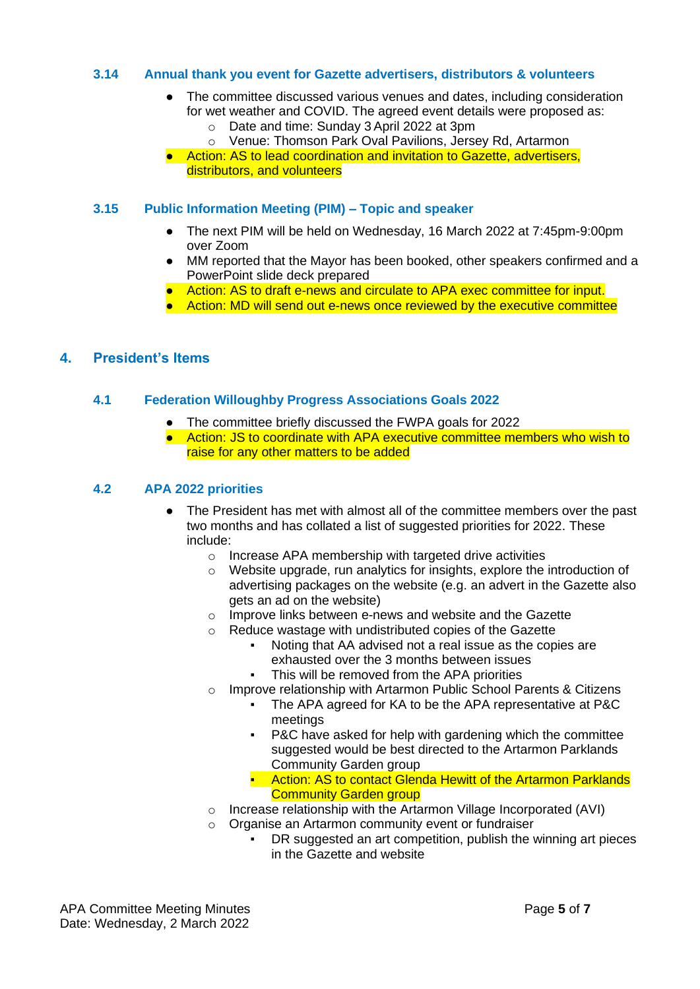# **3.14 Annual thank you event for Gazette advertisers, distributors & volunteers**

- The committee discussed various venues and dates, including consideration for wet weather and COVID. The agreed event details were proposed as:
	- o Date and time: Sunday 3 April 2022 at 3pm
	- o Venue: Thomson Park Oval Pavilions, Jersey Rd, Artarmon
- Action: AS to lead coordination and invitation to Gazette, advertisers, distributors, and volunteers

# **3.15 Public Information Meeting (PIM) – Topic and speaker**

- The next PIM will be held on Wednesday, 16 March 2022 at 7:45pm-9:00pm over Zoom
- MM reported that the Mayor has been booked, other speakers confirmed and a PowerPoint slide deck prepared
- Action: AS to draft e-news and circulate to APA exec committee for input.
- Action: MD will send out e-news once reviewed by the executive committee

# **4. President's Items**

# **4.1 Federation Willoughby Progress Associations Goals 2022**

- The committee briefly discussed the FWPA goals for 2022
- Action: JS to coordinate with APA executive committee members who wish to raise for any other matters to be added

# **4.2 APA 2022 priorities**

- The President has met with almost all of the committee members over the past two months and has collated a list of suggested priorities for 2022. These include:
	- o Increase APA membership with targeted drive activities
	- o Website upgrade, run analytics for insights, explore the introduction of advertising packages on the website (e.g. an advert in the Gazette also gets an ad on the website)
	- o Improve links between e-news and website and the Gazette
	- o Reduce wastage with undistributed copies of the Gazette
		- Noting that AA advised not a real issue as the copies are exhausted over the 3 months between issues
		- This will be removed from the APA priorities
	- o Improve relationship with Artarmon Public School Parents & Citizens
		- The APA agreed for KA to be the APA representative at P&C meetings
		- P&C have asked for help with gardening which the committee suggested would be best directed to the Artarmon Parklands Community Garden group
		- **E** Action: AS to contact Glenda Hewitt of the Artarmon Parklands Community Garden group
	- o Increase relationship with the Artarmon Village Incorporated (AVI)
	- o Organise an Artarmon community event or fundraiser
		- DR suggested an art competition, publish the winning art pieces in the Gazette and website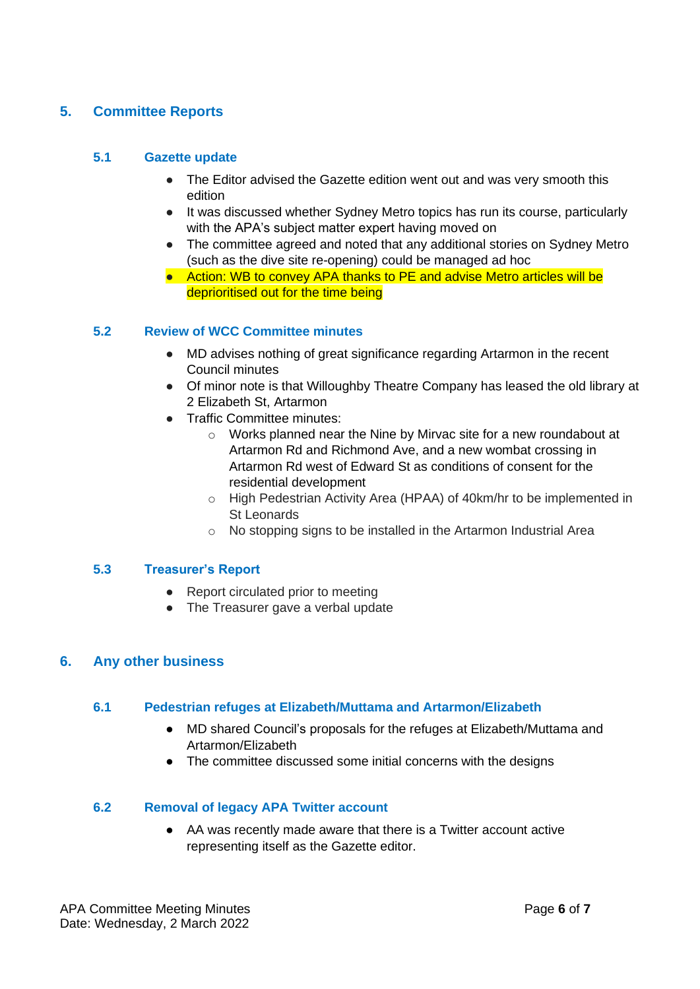# **5. Committee Reports**

# **5.1 Gazette update**

- The Editor advised the Gazette edition went out and was very smooth this edition
- It was discussed whether Sydney Metro topics has run its course, particularly with the APA's subject matter expert having moved on
- The committee agreed and noted that any additional stories on Sydney Metro (such as the dive site re-opening) could be managed ad hoc
- Action: WB to convey APA thanks to PE and advise Metro articles will be deprioritised out for the time being

# **5.2 Review of WCC Committee minutes**

- MD advises nothing of great significance regarding Artarmon in the recent Council minutes
- Of minor note is that Willoughby Theatre Company has leased the old library at 2 Elizabeth St, Artarmon
- Traffic Committee minutes:
	- o Works planned near the Nine by Mirvac site for a new roundabout at Artarmon Rd and Richmond Ave, and a new wombat crossing in Artarmon Rd west of Edward St as conditions of consent for the residential development
	- o High Pedestrian Activity Area (HPAA) of 40km/hr to be implemented in St Leonards
	- o No stopping signs to be installed in the Artarmon Industrial Area

# **5.3 Treasurer's Report**

- Report circulated prior to meeting
- The Treasurer gave a verbal update

# **6. Any other business**

# **6.1 Pedestrian refuges at Elizabeth/Muttama and Artarmon/Elizabeth**

- MD shared Council's proposals for the refuges at Elizabeth/Muttama and Artarmon/Elizabeth
- The committee discussed some initial concerns with the designs

# **6.2 Removal of legacy APA Twitter account**

● AA was recently made aware that there is a Twitter account active representing itself as the Gazette editor.